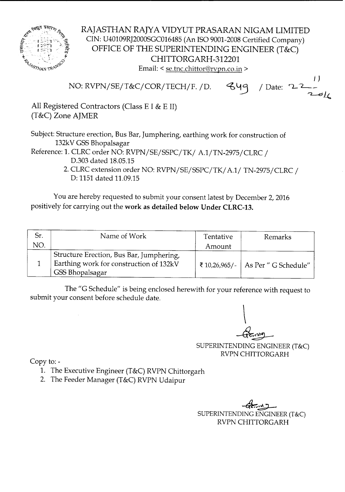

RAJASTHAN RAJYA VIDYUT PRASARAN NIGAM LIMITED CIN: U40109RJ2000SGC016485 (An ISO 9001-2008 Certified Company) OFFICE OF THE SUPERINTENDING ENGINEER (T&C) CHITTORGARH-312201 Email: < se.tnc.chittor@rvpn.co.in >

*I ) <sup>j</sup>* Date: <sup>~</sup> *L-\_* 849 NO: RVPN/SE/T&C/COR/TECH/F. /D.  $2$ e $\ell$ 

All Registered Contractors (Class E I & E II) (T&C) Zone AJMER

Subject: Structure erection, Bus Bar, Jumphering, earthing work for construction of 132kV GSS Bhopalsagar

Reference: 1. CLRC order NO: *RVPNjSE/SSPC/TKI A.1/TN-2975/CLRC I* D.303 dated 18.05.15

2. CLRC extension order NO: *RVPN/SE/SSPC/TKI A.11 TN-2975/CLRC I* D: 1151 dated 11.09.15

You are hereby requested to submit your consent latest by December 2, 2016 positively for carrying out the work as detailed below Under CLRC-13.

| Sr. | Name of Work                                                                                           | Tentative | Remarks                              |
|-----|--------------------------------------------------------------------------------------------------------|-----------|--------------------------------------|
| NO. |                                                                                                        | Amount    |                                      |
|     | Structure Erection, Bus Bar, Jumphering,<br>Earthing work for construction of 132kV<br>GSS Bhopalsagar |           | ₹ 10,26,965/-   As Per " G Schedule" |

The "G Schedule" is being enclosed herewith for your reference with request to submit your consent before schedule date.

 $\mathcal{L}$ --4{.~

SUPERINTENDING ENGINEER (T&C) RVPNCHITTORGARH

Copy to:-

- 1. The Executive Engineer (T&C) RVPN Chittorgarh
- 2. The Feeder Manager (T&C) RVPN Udaipur

~~ SUPERINTENDINGENGINEER(T&C) RVPN CHITTORGARH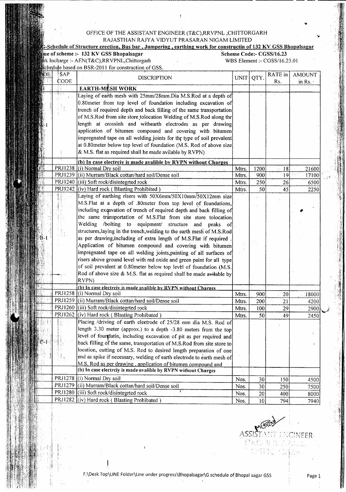## OFFICE OF THE ASSISTANT ENGINEER (T&C),RRVPNL ,CHITTORGARH RAJASTHAN RAJYA VIDYUT PRASARAN NIGAM LIMITED

## $\frac{1}{2}$ -Schedule of Structure erection, Bus bar , Jumpering , earthing work for constructin of 132 KV GSS Bhopalsagar

---------------------------------------------------------------- ----------- -- -- --------

me of scheme :- 132 KV GSS Bhopalsagar

DE.

Scheme Code:- CGSS/16.23

..

 $\sim$ 

 $x$ k Incharge :- AEN(T&C Schedule based on BSR-

|                                 | charge :- AEN(T&C),RRVPNL,Chittorgarh                                                                                                                                                                                                                                                                                                                                                                                                                                                                                                                                                                                |        |      | WBS Element :- CGSS/16.23.01 |                         |       |  |
|---------------------------------|----------------------------------------------------------------------------------------------------------------------------------------------------------------------------------------------------------------------------------------------------------------------------------------------------------------------------------------------------------------------------------------------------------------------------------------------------------------------------------------------------------------------------------------------------------------------------------------------------------------------|--------|------|------------------------------|-------------------------|-------|--|
|                                 | lule based on BSR-2011 for construction of GSS.                                                                                                                                                                                                                                                                                                                                                                                                                                                                                                                                                                      |        |      |                              |                         |       |  |
| SAP <sup>1</sup><br><b>CODE</b> | <b>DISCRIPTION</b>                                                                                                                                                                                                                                                                                                                                                                                                                                                                                                                                                                                                   | UNIT l | QTY. | RATE in<br>Rs.               | <b>AMOUNT</b><br>in Rs. |       |  |
|                                 | <b>EARTH-MESH WORK</b>                                                                                                                                                                                                                                                                                                                                                                                                                                                                                                                                                                                               |        |      |                              |                         |       |  |
|                                 | Laying of earth mesh with 25mm/28mm.Dia M.S.Rod at a depth of<br>0.80 meter from top level of foundation including excavation of<br>trench of required depth and back filling of the same transportation<br>of M.S.Rod from site store tolocation Welding of M.S.Rod along thr<br>length at crossinh and withearth electrodes as per drawing<br>application of bitumen compound and covering with bitumen<br>impregnated tape on all welding joints for thr type of soil prevalent<br>at 0.80 meter below top level of foundation (M.S. Rod of above size<br>& M.S. flat as required shall be made avilable by RVPN) |        |      |                              |                         |       |  |
|                                 | (b) In case electrciy is made avalible by RVPN without Charges                                                                                                                                                                                                                                                                                                                                                                                                                                                                                                                                                       |        |      |                              |                         |       |  |
|                                 | PRJ1238 (i) Normal Dry soil                                                                                                                                                                                                                                                                                                                                                                                                                                                                                                                                                                                          | Mtrs.  | 1200 | 8                            |                         | 21600 |  |
|                                 | PRJ1239 (ii) Murram/Black cottan/hard soil/Dense soil                                                                                                                                                                                                                                                                                                                                                                                                                                                                                                                                                                | Mtrs.  | 900  | 19                           |                         | 17100 |  |
|                                 | PRJ1240 (iii) Soft rock/disintegrted rock                                                                                                                                                                                                                                                                                                                                                                                                                                                                                                                                                                            | Mtrs.  | 250  | 26                           |                         | 6500  |  |
|                                 | PRJ1242 (iv) Hard rock (Blasting Prohibited)                                                                                                                                                                                                                                                                                                                                                                                                                                                                                                                                                                         | Mtrs.  | 501  | 45                           |                         | 2250  |  |
|                                 | Laying of earthing risers with 50X6mm/50X10mm/50X12mm size<br>M.S.Flat at a depth of .80meter from top level of foundations,<br>including exqavation of trench of required depth and back filling of<br>$\mathcal{L}$ and $\mathcal{L}$ and $\mathcal{L}$ and $\mathcal{L}$ and $\mathcal{L}$ and $\mathcal{L}$ and $\mathcal{L}$ and $\mathcal{L}$ and $\mathcal{L}$ and $\mathcal{L}$ and $\mathcal{L}$ and $\mathcal{L}$ and $\mathcal{L}$ and $\mathcal{L}$ and $\mathcal{L}$ and $\mathcal{L}$ and $\mathcal{L}$ and                                                                                            |        |      |                              |                         |       |  |

| impregnated tape on all welding joints, painting of all surfaces of<br>risers above ground level with red oxide and green paint for all type<br>of soil prevalent at 0.80meter below top level of foundation (M.S.<br>Rod of above size & M.S. flat as required shall be made avitable by<br>RVPN)<br>(b) In case electroly is made avalible by RVPN without Charges<br>PRJ1258 (i) Normal Dry soil<br>Mtrs.<br>900<br>20<br>PRJ1259 (ii) Murram/Black cottan/hard soil/Dense soil<br>200<br>Mtrs.<br>21<br>PRJ1260 (iii) Soft rock/disintegrted rock<br>Mtrs.<br>100<br>29<br>PRJ1262 (iv) Hard rock (Blasting Prohibated)<br>Mtrs.<br>49<br>50<br>Placing /driving of earth electrode of 25/28 mm dia M.S. Rod of<br>length 3.30 meter (approx.) to a depth -3.80 meters from the top<br>level of foundatin, including excavation of pit as per required and<br>back filling of the same, transportation of M.S.Rod from site store to |       |
|------------------------------------------------------------------------------------------------------------------------------------------------------------------------------------------------------------------------------------------------------------------------------------------------------------------------------------------------------------------------------------------------------------------------------------------------------------------------------------------------------------------------------------------------------------------------------------------------------------------------------------------------------------------------------------------------------------------------------------------------------------------------------------------------------------------------------------------------------------------------------------------------------------------------------------------|-------|
|                                                                                                                                                                                                                                                                                                                                                                                                                                                                                                                                                                                                                                                                                                                                                                                                                                                                                                                                          |       |
|                                                                                                                                                                                                                                                                                                                                                                                                                                                                                                                                                                                                                                                                                                                                                                                                                                                                                                                                          |       |
|                                                                                                                                                                                                                                                                                                                                                                                                                                                                                                                                                                                                                                                                                                                                                                                                                                                                                                                                          |       |
|                                                                                                                                                                                                                                                                                                                                                                                                                                                                                                                                                                                                                                                                                                                                                                                                                                                                                                                                          |       |
|                                                                                                                                                                                                                                                                                                                                                                                                                                                                                                                                                                                                                                                                                                                                                                                                                                                                                                                                          | 18000 |
|                                                                                                                                                                                                                                                                                                                                                                                                                                                                                                                                                                                                                                                                                                                                                                                                                                                                                                                                          | 4200  |
|                                                                                                                                                                                                                                                                                                                                                                                                                                                                                                                                                                                                                                                                                                                                                                                                                                                                                                                                          | 2900  |
|                                                                                                                                                                                                                                                                                                                                                                                                                                                                                                                                                                                                                                                                                                                                                                                                                                                                                                                                          | 2450  |
| location, cutting of M.S. Rod to desired length preparation of one<br>end as spike if necessary, welding of earth electrode to earth mesh of<br>M.S. Rod as per drawing, application of bitumen compound and<br>(b) In case electrciy is made avalible by RVPN without Charges                                                                                                                                                                                                                                                                                                                                                                                                                                                                                                                                                                                                                                                           |       |
| PRJ1278 (i) Normal Dry soil<br>Nos.<br>30 <sup>1</sup><br>150                                                                                                                                                                                                                                                                                                                                                                                                                                                                                                                                                                                                                                                                                                                                                                                                                                                                            | 4500  |
| PRJ1279 (ii) Murram/Black cottan/hard soil/Dense soil<br>Nos.<br>30<br>250                                                                                                                                                                                                                                                                                                                                                                                                                                                                                                                                                                                                                                                                                                                                                                                                                                                               | 7500  |
| PRJ1280 (iii) Soft rock/disintegrted rock<br>Nos.<br>20<br>400                                                                                                                                                                                                                                                                                                                                                                                                                                                                                                                                                                                                                                                                                                                                                                                                                                                                           |       |
| PRJ1282 (iv) Hard rock (Blasting Prohibated)<br>Nos.<br>10 <sup>1</sup><br>794                                                                                                                                                                                                                                                                                                                                                                                                                                                                                                                                                                                                                                                                                                                                                                                                                                                           | 8000  |

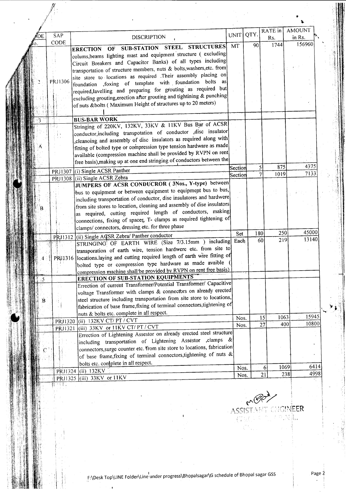|    |         |                                                                                                                               |              |      | RATE in                             | <b>AMOUNT</b> |
|----|---------|-------------------------------------------------------------------------------------------------------------------------------|--------------|------|-------------------------------------|---------------|
| DЕ | SAP     | <b>DISCRIPTION</b>                                                                                                            | UNIT         | QTY. | Rs.                                 | in Rs.        |
|    | CODE    | <b>STRUCTURES</b>                                                                                                             | MT           | 90   | 1744                                | 156960        |
|    |         | SUB-STATION STEEL<br>OF<br><b>ERECTION</b>                                                                                    |              |      |                                     |               |
|    |         | colums, beams lighting mast and equipment structure (excluding                                                                |              |      |                                     |               |
|    |         | Circuit Breakers and Capacitor Banks) of all types including                                                                  |              |      |                                     |               |
|    |         | transportation of structure members, nuts & bolts, washers, etc. from                                                         |              |      |                                     |               |
|    | PRJ1306 | site store to locations as required .Their assembly placing on<br>foundation , foxing of template with foundation bolts<br>as |              |      |                                     |               |
|    |         | required, lavelling and preparing for grouting as required but                                                                |              |      |                                     |               |
|    |         | excluding grouting, erection after grouting and tightining & punching                                                         |              |      |                                     |               |
|    |         | of nuts &bolts (Maximum Height of structures up to 20 meters)                                                                 |              |      |                                     |               |
|    |         |                                                                                                                               |              |      |                                     |               |
|    |         | <b>BUS-BAR WORK</b>                                                                                                           |              |      |                                     |               |
|    |         | Stringing of 220KV, 132KV, 33KV & 11KV Bus Bar of ACSR                                                                        |              |      |                                     |               |
|    |         | conductor, including transpotation of conductor , disc insulator                                                              |              |      |                                     |               |
|    |         | cleanoing and assembly of disc insulators as required along with                                                              |              |      |                                     |               |
|    |         | fitting of bolted type or compression type tension hardware as made                                                           |              |      |                                     |               |
|    |         | available (compression machine shall be provided by RVPN on rent                                                              |              |      |                                     |               |
|    |         | free basis), making up at one end stringing of conductors between the                                                         |              |      |                                     |               |
|    |         |                                                                                                                               | Section      | 5    | 875                                 | 4375          |
|    | PRJ1307 | (i) Single ACSR Panther                                                                                                       | Section      |      | 1019                                | 7133          |
|    | PRJ1308 | (ii) Single ACSR Zebra<br>JUMPERS OF ACSR CONDUCROR (3Nos., Y-type) between                                                   |              |      |                                     |               |
|    |         | bus to equipment or between equipment to equipment bus to bus,                                                                |              |      |                                     |               |
|    |         | including transportation of conductor, dise insulatores and hardwere                                                          |              |      |                                     |               |
|    |         | from site stores to location, cleaning and assembly of dise insulators                                                        |              |      |                                     |               |
|    |         | as required, cutting required length of conductors, making                                                                    |              |      |                                     |               |
|    |         | connections, fixing of spacer, T- clamps as required tightening of                                                            |              |      |                                     |               |
|    |         | clamps/ connectors, dressing etc. for three phase                                                                             |              |      |                                     |               |
|    |         |                                                                                                                               | Set          | 180  | 250                                 | 45000         |
|    | PRJ1312 | (ii) Single AGSR Zebra/ Panther conductor<br>STRINGING OF EARTH WIRE (Size 7/3.15mm ) including                               | Each         | 60   | 219                                 | 13140         |
|    |         | transporation of earth wire, tension hardwere etc. from site to                                                               |              |      |                                     |               |
|    |         | locations.laying and cutting required length of earth wire fitting of                                                         |              |      |                                     |               |
|    | PRJ1316 | bolted type or compression type hardware as made avaible (                                                                    |              |      |                                     |               |
|    |         | compression machine shall be provided by RVPN on rent free basis)                                                             |              |      |                                     |               |
|    |         | <b>ERECTION OF SUB-STATION EQUIPMENTS</b>                                                                                     |              |      |                                     |               |
| 5ء |         | Errection of current Transformer/Potential Transformer/ Capacitive                                                            |              |      |                                     |               |
|    |         | voltage Transformer with clamps & connectors on already erected                                                               |              |      |                                     |               |
| В  |         | steel structure including transportation from site store to locations,                                                        |              |      |                                     |               |
|    |         | fabrication of base frame, fixing of terminal connectors, tightening of                                                       |              |      |                                     |               |
|    |         | nuts & bolts etc. complete in all respect.                                                                                    |              |      |                                     |               |
|    | PRJ1320 | (ii) 132KV CT/ PT / CVT                                                                                                       | Nos.         | 15   | 1063                                | 15945         |
|    | PRJ1321 | (iii) 33KV or 11KV CT/ PT / CVT                                                                                               | Nos.         | 27   | 400                                 | 10800         |
|    |         | Errection of Lightening Assestor on already erected steel structure                                                           |              |      |                                     |               |
|    |         | including transportation of Lightening Assestor ,clamps &                                                                     |              |      |                                     |               |
|    |         | connectors, surge counter etc. from site store to locations, fabrication                                                      |              |      |                                     |               |
|    |         | of base frame, fixing of terminal connectors, tightening of nuts $\&$                                                         |              |      |                                     |               |
|    |         | bolts etc. conplete in all respect.                                                                                           |              |      |                                     |               |
|    |         |                                                                                                                               |              |      |                                     |               |
|    | PRJ1324 | $(iii)$ 132KV                                                                                                                 | Nos.<br>Nos. |      | 1069<br>6<br>238<br>$\overline{21}$ | 6414<br>4998  |

**All Controller** 

 $r^{100}$  $\lambda$ ssistant engin<mark>eer</mark>

 $\cdot$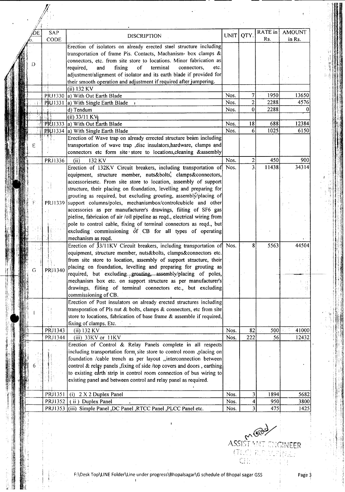| DE | SAP<br><b>CODE</b> | <b>DISCRIPTION</b>                                                        | UNIT | QTY. | RATE in<br>Rs. | <b>AMOUNT</b><br>in Rs. |
|----|--------------------|---------------------------------------------------------------------------|------|------|----------------|-------------------------|
|    |                    | Erection of isolators on already erected steel structure including        |      |      |                |                         |
|    |                    |                                                                           |      |      |                |                         |
|    |                    | transportation of frame Pis. Contacts, Machanism- box clamps &            |      |      |                |                         |
|    |                    | connectors, etc. from site store to locations. Minor fabrication as       |      |      |                |                         |
|    |                    | fixing<br>required,<br>and<br>of<br>terminal<br>connectors,<br>etc.       |      |      |                |                         |
|    |                    | adjustment/alignment of isolator and its earth blade if provided for      |      |      |                |                         |
|    |                    | their smooth operation and adjustment if required after jumpering.        |      |      |                |                         |
|    |                    | (ii) 132 KV                                                               |      |      |                |                         |
|    | PRJ1330            | a) With Out Earth Blade                                                   | Nos. | 7    | 1950           | 13650                   |
|    | PRJ1331            | a) With Single Earth Blade                                                | Nos. | 2    | 2288           | 4576                    |
|    |                    | d) Tendum                                                                 | Nos. | 0    | 2288           |                         |
|    |                    | $(ii)$ 33/11 KV                                                           |      |      |                |                         |
|    | <b>PRI1333</b>     | a) With Out Earth Blade                                                   | Nos. | 18   | 688            | 12384                   |
|    | PRJ1334            | a) With Single Earth Blade                                                | Nos. | 6    | 1025           | 6150                    |
|    |                    | Erection of Wave trap on already errected structure beam including        |      |      |                |                         |
| Е  |                    | transportation of wave trap , disc insulators, hardware, clamps and       |      |      |                |                         |
|    |                    | connectors etc form site store to locations, cleaning &assembly           |      |      |                |                         |
|    | PRJ1336            | (ii)<br>132 KV                                                            | Nos. | 2    | 450            | 900                     |
|    |                    | Erection of 132KV Circuit breakers, including transportation of Nos.      |      |      | 11438          | 34314                   |
|    |                    | equipment, structure member, nuts&bolts, clamps&connectors,               |      |      |                |                         |
|    |                    |                                                                           |      |      |                |                         |
|    |                    | accessoriesetc. From site store to location, assembly of support          |      |      |                |                         |
|    |                    | structure, their placing on foundation, levelling and preparing for       |      |      |                |                         |
|    |                    | grouting as required, but excluding grouting, assembly/placing of         |      |      |                |                         |
|    | PRJ1339            | support columns/poles, mechanismbox/controlcubicle and other              |      |      |                |                         |
|    |                    | accessories as per manufacturer's drawings, fiiting of SF6 gas            |      |      |                |                         |
|    |                    | pieline, fabricaion of air /oil pipeline as reqd., electrical wiring from |      |      |                |                         |
|    |                    | pole to control cable, fixing of terminal connectors as reqd., but        |      |      |                |                         |
|    |                    | excluding commissioning of CB for all types of operating                  |      |      |                |                         |
|    |                    | mechanism as reqd.                                                        |      |      |                |                         |
|    |                    | Erection of 13/11KV Circuit breakers, including transportation of Nos.    |      | 8    | 5563           | 44504                   |
|    |                    | equipment, structure member, nuts&bolts, clamps&connectors etc.           |      |      |                |                         |
|    |                    | from site store to location, assembly of support structure, their         |      |      |                |                         |
|    |                    | placing on foundation, levelling and preparing for grouting as            |      |      |                |                         |
|    | PRJ1340            | required, but excluding grouting, assembly/placing of poles,              |      |      |                |                         |
|    |                    | mechanism box etc. on support structure as per manufacturer's             |      |      |                |                         |
|    |                    | drawings, fiiting of terminal connectors etc., but excluding              |      |      |                |                         |
|    |                    | commissioning of CB.                                                      |      |      |                |                         |
|    |                    | Erection of Post insulators on already erected structures including       |      |      |                |                         |
|    |                    |                                                                           |      |      |                |                         |
|    |                    | transporation of Pls nut & bolts, clamps & connectors, etc from site      |      |      |                |                         |
|    |                    | store to locations, fabrication of base frame & assemble if required,     |      |      |                |                         |
|    |                    | fixing of clamps. Etc.                                                    |      |      |                |                         |
|    | PRJ1343            | (ii) 132 KV                                                               | Nos. | 82   | 500            | 41000                   |
|    | PRJ1344            | (iii) 33KV or 11KV                                                        | Nos. | 222  | 56             | 12432                   |
|    |                    | Erection of Control & Relay Panels complete in all respects               |      |      |                |                         |
|    |                    |                                                                           |      |      |                |                         |
|    |                    | including transportation form site store to control room ,placing on      |      |      |                |                         |
|    |                    | foundation /cable trench as per layout "interconnection between           |      |      |                |                         |
|    |                    | control & relay panels, fixing of side /top covers and doors, earthing    |      |      |                |                         |
|    |                    | to existing earth strip in control room connection of bus wiring to       |      |      |                |                         |
|    |                    | existing panel and between control and relay panel as required.           |      |      |                |                         |
|    |                    |                                                                           |      |      |                |                         |
|    | PRJ1351            | (i) 2 X 2 Duplex Panel                                                    | Nos. | 3    | 1894           |                         |
|    | PRJ1352            | (ii) Duplex Panel                                                         | Nos. | 4    | 950            | 5682<br>3800            |

 $\frac{1}{2}$ 

 $\epsilon^{\rm eff}$ 

 $\frac{1}{2}$ 

**-------------------------------------------------------------------.** -----



.i:1 I

Expertise

i',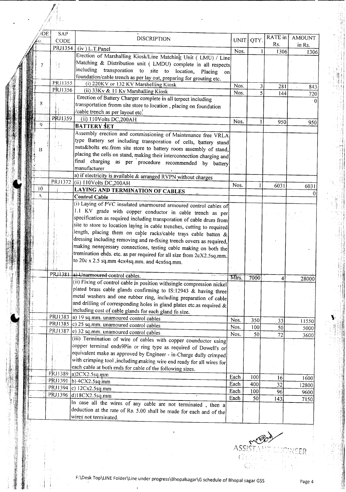| ∕iDE            | <b>SAP</b> | <b>DISCRIPTION</b>                                                                                                                   | UNIT  |      | <b>RATE</b> in | <b>AMOUNT</b> |
|-----------------|------------|--------------------------------------------------------------------------------------------------------------------------------------|-------|------|----------------|---------------|
|                 | CODE       |                                                                                                                                      |       | QTY. | Rs.            | in Rs.        |
|                 | PRJ1354    | (iv) L.T.Panel                                                                                                                       | Nos.  |      | 1306           | 1306          |
|                 |            | Erection of Marshalling Kiosk/Line Matching Unit (LMU) / Line                                                                        |       |      |                |               |
|                 |            | Matching & Distribution unit ( LMDU) complete in all respects                                                                        |       |      |                |               |
|                 |            | including transporation to site to location, Placing<br>on                                                                           |       |      |                |               |
|                 |            | foundation/cable trench as per lay out, preparing for grouting etc.                                                                  |       |      |                |               |
|                 | PRJ1355    | (i) 220KV or 132 KV Marshelling Kiosk                                                                                                | Nos.  | 3    | 281            | 843           |
|                 | PRJ1356    | (ii) 33Kv & 11 Kv Marshalling Kiosk                                                                                                  | Nos.  | 5    | 144            | 720           |
|                 |            | Erection of Battery Charger complete in all terpect including                                                                        |       |      |                |               |
|                 |            | transportation fronm site store to location, placing on foundation                                                                   |       |      |                |               |
|                 |            | cable trench as per layout etc.                                                                                                      |       |      |                |               |
|                 | PRJ1359    | (ii) 110Volts DC,200AH                                                                                                               | Nos.  |      | 950            | 950           |
| Q               |            | <b>BATTERY SET</b>                                                                                                                   |       |      |                |               |
|                 |            | Assembly erection and commissioning of Maintenance free VRLA                                                                         |       |      |                |               |
|                 |            | type Battery set including transporation of cells, battery stand                                                                     |       |      |                |               |
|                 |            | nuts&bolts etc.from site store to battery room assembly of stand,                                                                    |       |      |                |               |
|                 |            | placing the cells on stand, making their interconnection charging and                                                                |       |      |                |               |
|                 |            | final charging as per procedure recommended by battery                                                                               |       |      |                |               |
|                 |            | manufacturer                                                                                                                         |       |      |                |               |
|                 |            | a) if electricity is available & arranged RVPN without charges                                                                       |       |      |                |               |
|                 | PRJ1372    | (ii) 110Volts DC,200AH                                                                                                               | Nos.  |      | 6031           |               |
| $\overline{10}$ |            | <b>LAYING AND TERMINATION OF CABLES</b>                                                                                              |       |      |                | 6031          |
| A               |            | <b>Control Cable</b>                                                                                                                 |       |      |                |               |
|                 |            | (i) Laying of PVC insulated unarmoured armoured control cables of                                                                    |       |      |                |               |
|                 |            | 1.1 KV grade with copper conductor in cable trench as per                                                                            |       |      |                |               |
|                 |            | specification as required including transporation of cable drum from                                                                 |       |      |                |               |
|                 |            | site to store to location laying in cable trenches, cutting to required                                                              |       |      |                |               |
|                 |            | length, placing them on cable racks/cable trays cable batten $\&$                                                                    |       |      |                |               |
|                 |            | dressing including removing and re-fixing trench covers as required,                                                                 |       |      |                |               |
|                 |            | making nenecessary connections, testing cable making on both the                                                                     |       |      |                |               |
|                 |            | tremination ends. etc. as per required for all size from 2cX2.5sq.mm.                                                                |       |      |                |               |
|                 |            | to 20c x 2.5 sq.mm 4cx4sq.mm. and 4cx6sq.mm.                                                                                         |       |      |                |               |
|                 |            |                                                                                                                                      |       |      |                |               |
|                 |            | PRJ1381 a) Unarmoured control cables.                                                                                                | Mtrs. | 7000 |                |               |
|                 |            | (ii) Fixing of control cable in position withsingle compression nickel                                                               |       |      |                | 28000         |
|                 |            | plated brass cable glands confirming to IS:12943 & having three                                                                      |       |      |                |               |
|                 |            | metal washers and one rubber ring, including preparation of cable                                                                    |       |      |                |               |
|                 |            | and drilling of corresponding holes in gland plates etc.as required $\&$                                                             |       |      |                |               |
|                 |            | including cost of cable glands for each gland fo size.                                                                               |       |      |                |               |
|                 |            | PRJ1383 a) 19 sq.mm. unamoured control cables                                                                                        |       |      |                |               |
|                 |            | PRJ1385 c) 25 sq.mm. unamoured control cables                                                                                        | Nos.  | 350  | 33             | 11550         |
|                 |            | PRJ1387 e) 32 sq.mm. unamoured control cables                                                                                        | Nos.  | 100  | 50             | 5000          |
|                 |            | (iii) Termination of wire of cables with copper counductor using                                                                     | Nos.  | 50   | 72             | 3600          |
|                 |            | copper terminal ends9Pin or ring type as required of Dowell's or                                                                     |       |      |                |               |
|                 |            | equivalent make as approved by Engineer - in-Charge dully crimped                                                                    |       |      |                |               |
|                 |            | with crimping tool ,including making wire end ready for all wires for                                                                |       |      |                |               |
|                 |            | each cable at both ends for cable of the following sizes.                                                                            |       |      |                |               |
|                 |            | PRJ1389 a)2CX2.5sq.mm                                                                                                                |       |      |                |               |
|                 |            | PRJ1391 b) 4CX2.5sq.mm                                                                                                               | Each  | 100  | 16             | 1600          |
|                 |            | PRJ1394 c) 12Cx2.5sq.mm                                                                                                              | Each  | 400  | 32             | 12800         |
|                 |            | PRJ1396 d)18CX2.5sq.mm                                                                                                               | Each  | 100  | 96             | 9600          |
|                 |            |                                                                                                                                      | Each  | 50   | 143            | 7150          |
|                 |            | In case all the wires of any cable are not terminated, then a<br>deduction at the rate of Rs. 5.00 shall be made for each and of the |       |      |                |               |
|                 |            |                                                                                                                                      |       |      |                |               |

F:\Desk Top\LlNE Folder\Line under progress\Bhopalsagar\Gschedule of Bhopal sagar GSS Page4

 $\mathbf{I}$ 

VEER